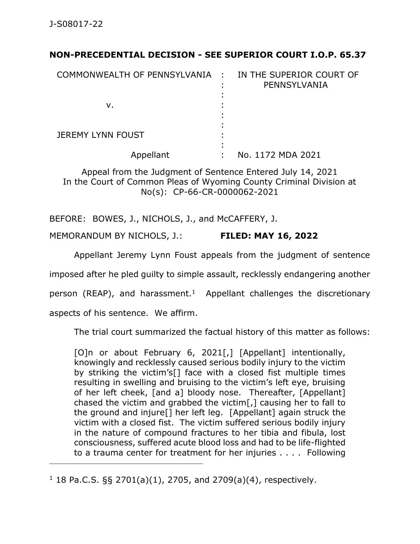## **NON-PRECEDENTIAL DECISION - SEE SUPERIOR COURT I.O.P. 65.37**

| COMMONWEALTH OF PENNSYLVANIA : | ٠ | IN THE SUPERIOR COURT OF<br>PENNSYLVANIA |
|--------------------------------|---|------------------------------------------|
|                                |   |                                          |
| v.                             |   |                                          |
| <b>JEREMY LYNN FOUST</b>       |   |                                          |
| Appellant                      |   | No. 1172 MDA 2021                        |

Appeal from the Judgment of Sentence Entered July 14, 2021 In the Court of Common Pleas of Wyoming County Criminal Division at No(s): CP-66-CR-0000062-2021

BEFORE: BOWES, J., NICHOLS, J., and McCAFFERY, J.

MEMORANDUM BY NICHOLS, J.: **FILED: MAY 16, 2022**

Appellant Jeremy Lynn Foust appeals from the judgment of sentence

imposed after he pled guilty to simple assault, recklessly endangering another

person (REAP), and harassment.<sup>1</sup> Appellant challenges the discretionary

aspects of his sentence. We affirm.

\_\_\_\_\_\_\_\_\_\_\_\_\_\_\_\_\_\_\_\_\_\_\_\_\_\_\_\_\_\_\_\_\_\_\_\_\_\_\_\_\_\_\_\_

The trial court summarized the factual history of this matter as follows:

[O]n or about February 6, 2021[,] [Appellant] intentionally, knowingly and recklessly caused serious bodily injury to the victim by striking the victim's[] face with a closed fist multiple times resulting in swelling and bruising to the victim's left eye, bruising of her left cheek, [and a] bloody nose. Thereafter, [Appellant] chased the victim and grabbed the victim[,] causing her to fall to the ground and injure[] her left leg. [Appellant] again struck the victim with a closed fist. The victim suffered serious bodily injury in the nature of compound fractures to her tibia and fibula, lost consciousness, suffered acute blood loss and had to be life-flighted to a trauma center for treatment for her injuries . . . . Following

 $1$  18 Pa.C.S. §§ 2701(a)(1), 2705, and 2709(a)(4), respectively.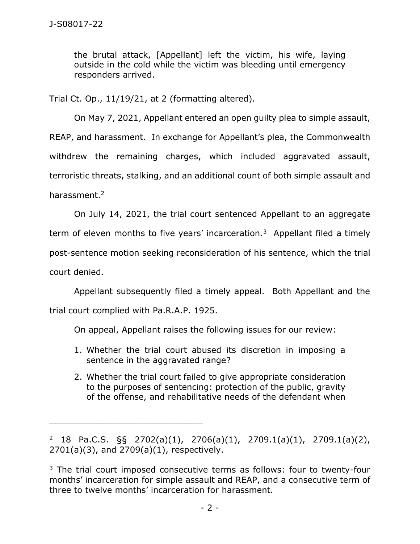the brutal attack, [Appellant] left the victim, his wife, laying outside in the cold while the victim was bleeding until emergency responders arrived.

Trial Ct. Op., 11/19/21, at 2 (formatting altered).

On May 7, 2021, Appellant entered an open guilty plea to simple assault, REAP, and harassment. In exchange for Appellant's plea, the Commonwealth withdrew the remaining charges, which included aggravated assault, terroristic threats, stalking, and an additional count of both simple assault and harassment.<sup>2</sup>

On July 14, 2021, the trial court sentenced Appellant to an aggregate term of eleven months to five years' incarceration.<sup>3</sup> Appellant filed a timely post-sentence motion seeking reconsideration of his sentence, which the trial court denied.

Appellant subsequently filed a timely appeal. Both Appellant and the trial court complied with Pa.R.A.P. 1925.

On appeal, Appellant raises the following issues for our review:

- 1. Whether the trial court abused its discretion in imposing a sentence in the aggravated range?
- 2. Whether the trial court failed to give appropriate consideration to the purposes of sentencing: protection of the public, gravity of the offense, and rehabilitative needs of the defendant when

<sup>&</sup>lt;sup>2</sup> 18 Pa.C.S. §§ 2702(a)(1), 2706(a)(1), 2709.1(a)(1), 2709.1(a)(2), 2701(a)(3), and 2709(a)(1), respectively.

 $3$  The trial court imposed consecutive terms as follows: four to twenty-four months' incarceration for simple assault and REAP, and a consecutive term of three to twelve months' incarceration for harassment.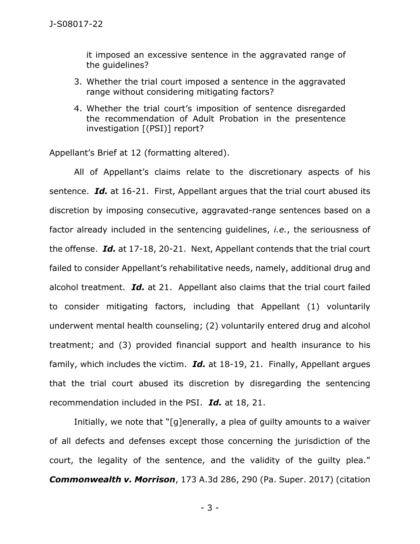it imposed an excessive sentence in the aggravated range of the guidelines?

- 3. Whether the trial court imposed a sentence in the aggravated range without considering mitigating factors?
- 4. Whether the trial court's imposition of sentence disregarded the recommendation of Adult Probation in the presentence investigation [(PSI)] report?

Appellant's Brief at 12 (formatting altered).

All of Appellant's claims relate to the discretionary aspects of his sentence. *Id.* at 16-21. First, Appellant argues that the trial court abused its discretion by imposing consecutive, aggravated-range sentences based on a factor already included in the sentencing guidelines, *i.e.*, the seriousness of the offense. *Id.* at 17-18, 20-21. Next, Appellant contends that the trial court failed to consider Appellant's rehabilitative needs, namely, additional drug and alcohol treatment. *Id.* at 21. Appellant also claims that the trial court failed to consider mitigating factors, including that Appellant (1) voluntarily underwent mental health counseling; (2) voluntarily entered drug and alcohol treatment; and (3) provided financial support and health insurance to his family, which includes the victim. *Id.* at 18-19, 21. Finally, Appellant argues that the trial court abused its discretion by disregarding the sentencing recommendation included in the PSI. *Id.* at 18, 21.

Initially, we note that "[g]enerally, a plea of guilty amounts to a waiver of all defects and defenses except those concerning the jurisdiction of the court, the legality of the sentence, and the validity of the guilty plea." *Commonwealth v. Morrison*, 173 A.3d 286, 290 (Pa. Super. 2017) (citation

- 3 -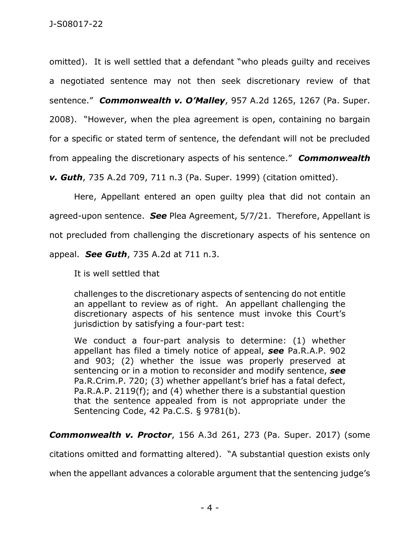omitted). It is well settled that a defendant "who pleads guilty and receives a negotiated sentence may not then seek discretionary review of that sentence." *Commonwealth v. O'Malley*, 957 A.2d 1265, 1267 (Pa. Super. 2008). "However, when the plea agreement is open, containing no bargain for a specific or stated term of sentence, the defendant will not be precluded from appealing the discretionary aspects of his sentence." *Commonwealth* 

*v. Guth*, 735 A.2d 709, 711 n.3 (Pa. Super. 1999) (citation omitted).

Here, Appellant entered an open guilty plea that did not contain an agreed-upon sentence. *See* Plea Agreement, 5/7/21. Therefore, Appellant is not precluded from challenging the discretionary aspects of his sentence on appeal. *See Guth*, 735 A.2d at 711 n.3.

It is well settled that

challenges to the discretionary aspects of sentencing do not entitle an appellant to review as of right. An appellant challenging the discretionary aspects of his sentence must invoke this Court's jurisdiction by satisfying a four-part test:

We conduct a four-part analysis to determine: (1) whether appellant has filed a timely notice of appeal, *see* Pa.R.A.P. 902 and 903; (2) whether the issue was properly preserved at sentencing or in a motion to reconsider and modify sentence, *see*  Pa.R.Crim.P. 720; (3) whether appellant's brief has a fatal defect, Pa.R.A.P. 2119(f); and (4) whether there is a substantial question that the sentence appealed from is not appropriate under the Sentencing Code, 42 Pa.C.S. § 9781(b).

*Commonwealth v. Proctor*, 156 A.3d 261, 273 (Pa. Super. 2017) (some

citations omitted and formatting altered). "A substantial question exists only

when the appellant advances a colorable argument that the sentencing judge's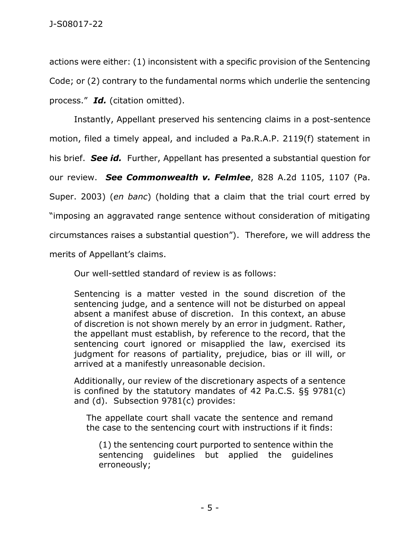actions were either: (1) inconsistent with a specific provision of the Sentencing Code; or (2) contrary to the fundamental norms which underlie the sentencing process." *Id.* (citation omitted).

Instantly, Appellant preserved his sentencing claims in a post-sentence motion, filed a timely appeal, and included a Pa.R.A.P. 2119(f) statement in his brief. *See id.* Further, Appellant has presented a substantial question for our review. *See Commonwealth v. Felmlee*, 828 A.2d 1105, 1107 (Pa. Super. 2003) (*en banc*) (holding that a claim that the trial court erred by "imposing an aggravated range sentence without consideration of mitigating circumstances raises a substantial question"). Therefore, we will address the merits of Appellant's claims.

Our well-settled standard of review is as follows:

Sentencing is a matter vested in the sound discretion of the sentencing judge, and a sentence will not be disturbed on appeal absent a manifest abuse of discretion. In this context, an abuse of discretion is not shown merely by an error in judgment. Rather, the appellant must establish, by reference to the record, that the sentencing court ignored or misapplied the law, exercised its judgment for reasons of partiality, prejudice, bias or ill will, or arrived at a manifestly unreasonable decision.

Additionally, our review of the discretionary aspects of a sentence is confined by the statutory mandates of 42 Pa.C.S. §§ 9781(c) and (d). Subsection 9781(c) provides:

The appellate court shall vacate the sentence and remand the case to the sentencing court with instructions if it finds:

(1) the sentencing court purported to sentence within the sentencing guidelines but applied the guidelines erroneously;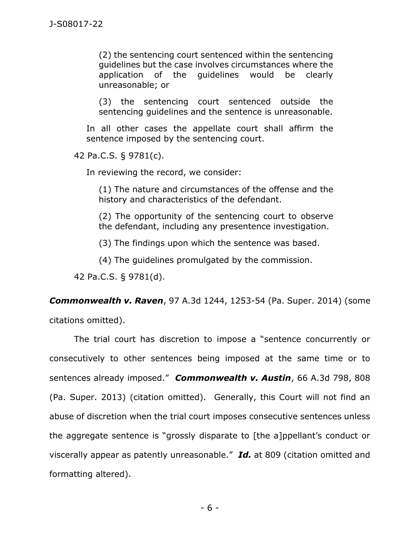(2) the sentencing court sentenced within the sentencing guidelines but the case involves circumstances where the application of the guidelines would be clearly unreasonable; or

(3) the sentencing court sentenced outside the sentencing guidelines and the sentence is unreasonable.

In all other cases the appellate court shall affirm the sentence imposed by the sentencing court.

42 Pa.C.S. § 9781(c).

In reviewing the record, we consider:

(1) The nature and circumstances of the offense and the history and characteristics of the defendant.

(2) The opportunity of the sentencing court to observe the defendant, including any presentence investigation.

(3) The findings upon which the sentence was based.

(4) The guidelines promulgated by the commission.

42 Pa.C.S. § 9781(d).

*Commonwealth v. Raven*, 97 A.3d 1244, 1253-54 (Pa. Super. 2014) (some

citations omitted).

The trial court has discretion to impose a "sentence concurrently or consecutively to other sentences being imposed at the same time or to sentences already imposed." *Commonwealth v. Austin*, 66 A.3d 798, 808 (Pa. Super. 2013) (citation omitted). Generally, this Court will not find an abuse of discretion when the trial court imposes consecutive sentences unless the aggregate sentence is "grossly disparate to [the a]ppellant's conduct or viscerally appear as patently unreasonable." *Id.* at 809 (citation omitted and formatting altered).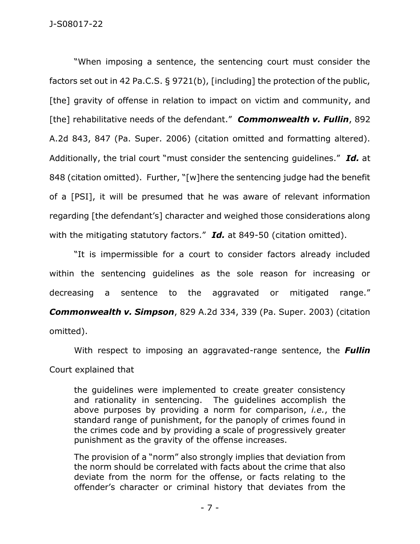"When imposing a sentence, the sentencing court must consider the factors set out in 42 Pa.C.S. § 9721(b), [including] the protection of the public, [the] gravity of offense in relation to impact on victim and community, and [the] rehabilitative needs of the defendant." *Commonwealth v. Fullin*, 892 A.2d 843, 847 (Pa. Super. 2006) (citation omitted and formatting altered). Additionally, the trial court "must consider the sentencing guidelines." *Id.* at 848 (citation omitted). Further, "[w]here the sentencing judge had the benefit of a [PSI], it will be presumed that he was aware of relevant information regarding [the defendant's] character and weighed those considerations along with the mitigating statutory factors." *Id.* at 849-50 (citation omitted).

"It is impermissible for a court to consider factors already included within the sentencing guidelines as the sole reason for increasing or decreasing a sentence to the aggravated or mitigated range." *Commonwealth v. Simpson*, 829 A.2d 334, 339 (Pa. Super. 2003) (citation omitted).

With respect to imposing an aggravated-range sentence, the *Fullin*  Court explained that

the guidelines were implemented to create greater consistency and rationality in sentencing. The guidelines accomplish the above purposes by providing a norm for comparison, *i.e.*, the standard range of punishment, for the panoply of crimes found in the crimes code and by providing a scale of progressively greater punishment as the gravity of the offense increases.

The provision of a "norm" also strongly implies that deviation from the norm should be correlated with facts about the crime that also deviate from the norm for the offense, or facts relating to the offender's character or criminal history that deviates from the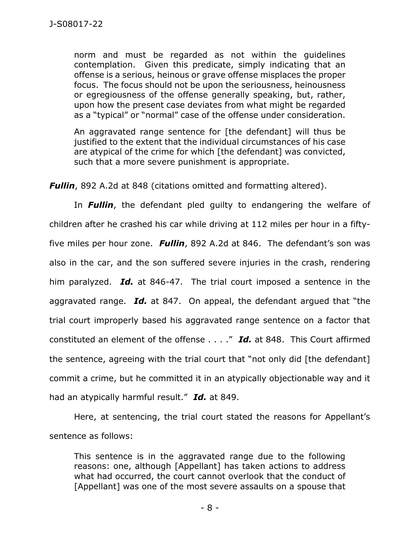norm and must be regarded as not within the guidelines contemplation. Given this predicate, simply indicating that an offense is a serious, heinous or grave offense misplaces the proper focus. The focus should not be upon the seriousness, heinousness or egregiousness of the offense generally speaking, but, rather, upon how the present case deviates from what might be regarded as a "typical" or "normal" case of the offense under consideration.

An aggravated range sentence for [the defendant] will thus be justified to the extent that the individual circumstances of his case are atypical of the crime for which [the defendant] was convicted, such that a more severe punishment is appropriate.

*Fullin*, 892 A.2d at 848 (citations omitted and formatting altered).

In *Fullin*, the defendant pled guilty to endangering the welfare of children after he crashed his car while driving at 112 miles per hour in a fiftyfive miles per hour zone. *Fullin*, 892 A.2d at 846. The defendant's son was also in the car, and the son suffered severe injuries in the crash, rendering him paralyzed. *Id.* at 846-47. The trial court imposed a sentence in the aggravated range. *Id.* at 847. On appeal, the defendant argued that "the trial court improperly based his aggravated range sentence on a factor that constituted an element of the offense . . . ." *Id.* at 848. This Court affirmed the sentence, agreeing with the trial court that "not only did [the defendant] commit a crime, but he committed it in an atypically objectionable way and it had an atypically harmful result." *Id.* at 849.

Here, at sentencing, the trial court stated the reasons for Appellant's sentence as follows:

This sentence is in the aggravated range due to the following reasons: one, although [Appellant] has taken actions to address what had occurred, the court cannot overlook that the conduct of [Appellant] was one of the most severe assaults on a spouse that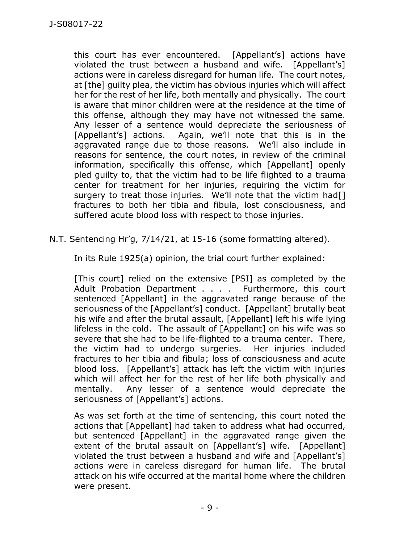this court has ever encountered. [Appellant's] actions have violated the trust between a husband and wife. [Appellant's] actions were in careless disregard for human life. The court notes, at [the] guilty plea, the victim has obvious injuries which will affect her for the rest of her life, both mentally and physically. The court is aware that minor children were at the residence at the time of this offense, although they may have not witnessed the same. Any lesser of a sentence would depreciate the seriousness of [Appellant's] actions. Again, we'll note that this is in the aggravated range due to those reasons. We'll also include in reasons for sentence, the court notes, in review of the criminal information, specifically this offense, which [Appellant] openly pled guilty to, that the victim had to be life flighted to a trauma center for treatment for her injuries, requiring the victim for surgery to treat those injuries. We'll note that the victim had<sup>[]</sup> fractures to both her tibia and fibula, lost consciousness, and suffered acute blood loss with respect to those injuries.

## N.T. Sentencing Hr'g, 7/14/21, at 15-16 (some formatting altered).

In its Rule 1925(a) opinion, the trial court further explained:

[This court] relied on the extensive [PSI] as completed by the Adult Probation Department . . . . Furthermore, this court sentenced [Appellant] in the aggravated range because of the seriousness of the [Appellant's] conduct. [Appellant] brutally beat his wife and after the brutal assault, [Appellant] left his wife lying lifeless in the cold. The assault of [Appellant] on his wife was so severe that she had to be life-flighted to a trauma center. There, the victim had to undergo surgeries. Her injuries included fractures to her tibia and fibula; loss of consciousness and acute blood loss. [Appellant's] attack has left the victim with injuries which will affect her for the rest of her life both physically and mentally. Any lesser of a sentence would depreciate the seriousness of [Appellant's] actions.

As was set forth at the time of sentencing, this court noted the actions that [Appellant] had taken to address what had occurred, but sentenced [Appellant] in the aggravated range given the extent of the brutal assault on [Appellant's] wife. [Appellant] violated the trust between a husband and wife and [Appellant's] actions were in careless disregard for human life. The brutal attack on his wife occurred at the marital home where the children were present.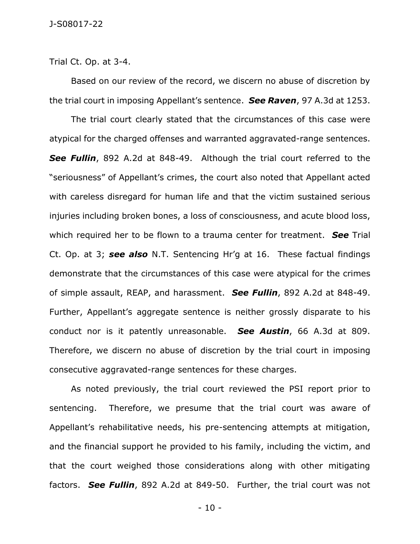Trial Ct. Op. at 3-4.

Based on our review of the record, we discern no abuse of discretion by the trial court in imposing Appellant's sentence. *See Raven*, 97 A.3d at 1253.

The trial court clearly stated that the circumstances of this case were atypical for the charged offenses and warranted aggravated-range sentences. *See Fullin*, 892 A.2d at 848-49. Although the trial court referred to the "seriousness" of Appellant's crimes, the court also noted that Appellant acted with careless disregard for human life and that the victim sustained serious injuries including broken bones, a loss of consciousness, and acute blood loss, which required her to be flown to a trauma center for treatment. *See* Trial Ct. Op. at 3; *see also* N.T. Sentencing Hr'g at 16. These factual findings demonstrate that the circumstances of this case were atypical for the crimes of simple assault, REAP, and harassment. *See Fullin*, 892 A.2d at 848-49. Further, Appellant's aggregate sentence is neither grossly disparate to his conduct nor is it patently unreasonable. *See Austin*, 66 A.3d at 809. Therefore, we discern no abuse of discretion by the trial court in imposing consecutive aggravated-range sentences for these charges.

As noted previously, the trial court reviewed the PSI report prior to sentencing. Therefore, we presume that the trial court was aware of Appellant's rehabilitative needs, his pre-sentencing attempts at mitigation, and the financial support he provided to his family, including the victim, and that the court weighed those considerations along with other mitigating factors. *See Fullin*, 892 A.2d at 849-50. Further, the trial court was not

- 10 -